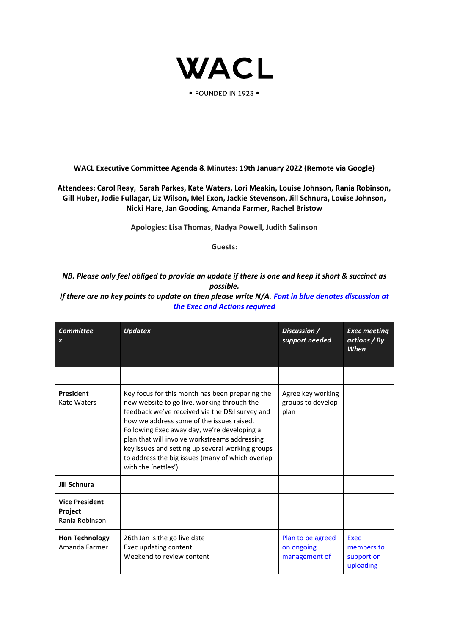

· FOUNDED IN 1923 ·

**WACL Executive Committee Agenda & Minutes: 19th January 2022 (Remote via Google)**

**Attendees: Carol Reay, Sarah Parkes, Kate Waters, Lori Meakin, Louise Johnson, Rania Robinson, Gill Huber, Jodie Fullagar, Liz Wilson, Mel Exon, Jackie Stevenson, Jill Schnura, Louise Johnson, Nicki Hare, Jan Gooding, Amanda Farmer, Rachel Bristow**

**Apologies: Lisa Thomas, Nadya Powell, Judith Salinson**

**Guests:** 

*NB. Please only feel obliged to provide an update if there is one and keep it short & succinct as possible.*

*If there are no key points to update on then please write N/A. Font in blue denotes discussion at the Exec and Actions required*

| <b>Committee</b><br>$\boldsymbol{x}$                      | <b>Updatex</b>                                                                                                                                                                                                                                                                                                                                                                                                               | Discussion /<br>support needed                   | <b>Exec meeting</b><br>actions / By<br><b>When</b> |
|-----------------------------------------------------------|------------------------------------------------------------------------------------------------------------------------------------------------------------------------------------------------------------------------------------------------------------------------------------------------------------------------------------------------------------------------------------------------------------------------------|--------------------------------------------------|----------------------------------------------------|
|                                                           |                                                                                                                                                                                                                                                                                                                                                                                                                              |                                                  |                                                    |
| <b>President</b><br>Kate Waters                           | Key focus for this month has been preparing the<br>new website to go live, working through the<br>feedback we've received via the D&I survey and<br>how we address some of the issues raised.<br>Following Exec away day, we're developing a<br>plan that will involve workstreams addressing<br>key issues and setting up several working groups<br>to address the big issues (many of which overlap<br>with the 'nettles') | Agree key working<br>groups to develop<br>plan   |                                                    |
| <b>Jill Schnura</b>                                       |                                                                                                                                                                                                                                                                                                                                                                                                                              |                                                  |                                                    |
| <b>Vice President</b><br><b>Project</b><br>Rania Robinson |                                                                                                                                                                                                                                                                                                                                                                                                                              |                                                  |                                                    |
| <b>Hon Technology</b><br>Amanda Farmer                    | 26th Jan is the go live date<br>Exec updating content<br>Weekend to review content                                                                                                                                                                                                                                                                                                                                           | Plan to be agreed<br>on ongoing<br>management of | Exec<br>members to<br>support on<br>uploading      |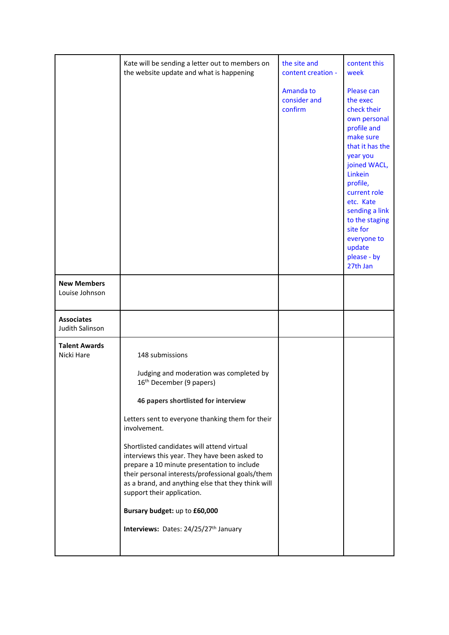|                                      | Kate will be sending a letter out to members on<br>the website update and what is happening                                                                                                                                                                                        | the site and<br>content creation -   | content this<br>week                                                                                                                                                                                                                                                                     |
|--------------------------------------|------------------------------------------------------------------------------------------------------------------------------------------------------------------------------------------------------------------------------------------------------------------------------------|--------------------------------------|------------------------------------------------------------------------------------------------------------------------------------------------------------------------------------------------------------------------------------------------------------------------------------------|
|                                      |                                                                                                                                                                                                                                                                                    | Amanda to<br>consider and<br>confirm | Please can<br>the exec<br>check their<br>own personal<br>profile and<br>make sure<br>that it has the<br>year you<br>joined WACL,<br>Linkein<br>profile,<br>current role<br>etc. Kate<br>sending a link<br>to the staging<br>site for<br>everyone to<br>update<br>please - by<br>27th Jan |
| <b>New Members</b><br>Louise Johnson |                                                                                                                                                                                                                                                                                    |                                      |                                                                                                                                                                                                                                                                                          |
| <b>Associates</b><br>Judith Salinson |                                                                                                                                                                                                                                                                                    |                                      |                                                                                                                                                                                                                                                                                          |
| <b>Talent Awards</b><br>Nicki Hare   | 148 submissions                                                                                                                                                                                                                                                                    |                                      |                                                                                                                                                                                                                                                                                          |
|                                      | Judging and moderation was completed by<br>16 <sup>th</sup> December (9 papers)                                                                                                                                                                                                    |                                      |                                                                                                                                                                                                                                                                                          |
|                                      | 46 papers shortlisted for interview                                                                                                                                                                                                                                                |                                      |                                                                                                                                                                                                                                                                                          |
|                                      | Letters sent to everyone thanking them for their<br>involvement.                                                                                                                                                                                                                   |                                      |                                                                                                                                                                                                                                                                                          |
|                                      | Shortlisted candidates will attend virtual<br>interviews this year. They have been asked to<br>prepare a 10 minute presentation to include<br>their personal interests/professional goals/them<br>as a brand, and anything else that they think will<br>support their application. |                                      |                                                                                                                                                                                                                                                                                          |
|                                      | Bursary budget: up to £60,000                                                                                                                                                                                                                                                      |                                      |                                                                                                                                                                                                                                                                                          |
|                                      | Interviews: Dates: 24/25/27th January                                                                                                                                                                                                                                              |                                      |                                                                                                                                                                                                                                                                                          |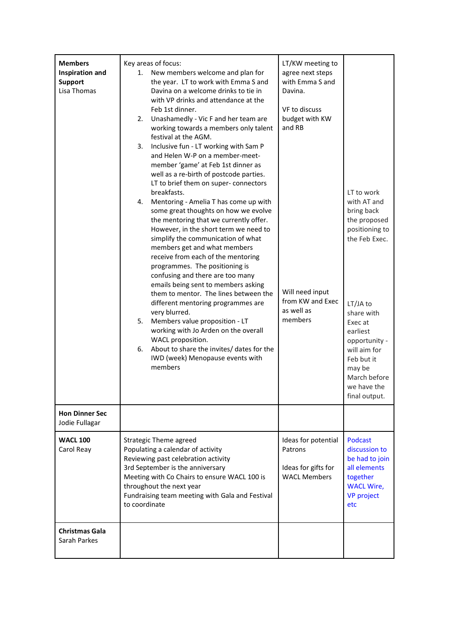| <b>Members</b><br><b>Inspiration and</b><br><b>Support</b><br>Lisa Thomas | Key areas of focus:<br>New members welcome and plan for<br>1.<br>the year. LT to work with Emma S and<br>Davina on a welcome drinks to tie in<br>with VP drinks and attendance at the<br>Feb 1st dinner.<br>2. Unashamedly - Vic F and her team are<br>working towards a members only talent<br>festival at the AGM.<br>Inclusive fun - LT working with Sam P<br>3.<br>and Helen W-P on a member-meet-<br>member 'game' at Feb 1st dinner as<br>well as a re-birth of postcode parties.<br>LT to brief them on super- connectors<br>breakfasts.<br>Mentoring - Amelia T has come up with<br>4.<br>some great thoughts on how we evolve<br>the mentoring that we currently offer.<br>However, in the short term we need to<br>simplify the communication of what<br>members get and what members<br>receive from each of the mentoring<br>programmes. The positioning is<br>confusing and there are too many<br>emails being sent to members asking<br>them to mentor. The lines between the<br>different mentoring programmes are<br>very blurred.<br>5.<br>Members value proposition - LT<br>working with Jo Arden on the overall<br>WACL proposition.<br>About to share the invites/ dates for the<br>6.<br>IWD (week) Menopause events with<br>members | LT/KW meeting to<br>agree next steps<br>with Emma S and<br>Davina.<br>VF to discuss<br>budget with KW<br>and RB<br>Will need input<br>from KW and Exec<br>as well as<br>members | LT to work<br>with AT and<br>bring back<br>the proposed<br>positioning to<br>the Feb Exec.<br>LT/JA to<br>share with<br>Exec at<br>earliest<br>opportunity -<br>will aim for<br>Feb but it<br>may be<br>March before<br>we have the<br>final output. |
|---------------------------------------------------------------------------|-----------------------------------------------------------------------------------------------------------------------------------------------------------------------------------------------------------------------------------------------------------------------------------------------------------------------------------------------------------------------------------------------------------------------------------------------------------------------------------------------------------------------------------------------------------------------------------------------------------------------------------------------------------------------------------------------------------------------------------------------------------------------------------------------------------------------------------------------------------------------------------------------------------------------------------------------------------------------------------------------------------------------------------------------------------------------------------------------------------------------------------------------------------------------------------------------------------------------------------------------------------|---------------------------------------------------------------------------------------------------------------------------------------------------------------------------------|------------------------------------------------------------------------------------------------------------------------------------------------------------------------------------------------------------------------------------------------------|
| <b>Hon Dinner Sec</b><br>Jodie Fullagar                                   |                                                                                                                                                                                                                                                                                                                                                                                                                                                                                                                                                                                                                                                                                                                                                                                                                                                                                                                                                                                                                                                                                                                                                                                                                                                           |                                                                                                                                                                                 |                                                                                                                                                                                                                                                      |
| <b>WACL 100</b><br>Carol Reay<br><b>Christmas Gala</b>                    | <b>Strategic Theme agreed</b><br>Populating a calendar of activity<br>Reviewing past celebration activity<br>3rd September is the anniversary<br>Meeting with Co Chairs to ensure WACL 100 is<br>throughout the next year<br>Fundraising team meeting with Gala and Festival<br>to coordinate                                                                                                                                                                                                                                                                                                                                                                                                                                                                                                                                                                                                                                                                                                                                                                                                                                                                                                                                                             | Ideas for potential<br>Patrons<br>Ideas for gifts for<br><b>WACL Members</b>                                                                                                    | <b>Podcast</b><br>discussion to<br>be had to join<br>all elements<br>together<br><b>WACL Wire,</b><br><b>VP</b> project<br>etc                                                                                                                       |
| Sarah Parkes                                                              |                                                                                                                                                                                                                                                                                                                                                                                                                                                                                                                                                                                                                                                                                                                                                                                                                                                                                                                                                                                                                                                                                                                                                                                                                                                           |                                                                                                                                                                                 |                                                                                                                                                                                                                                                      |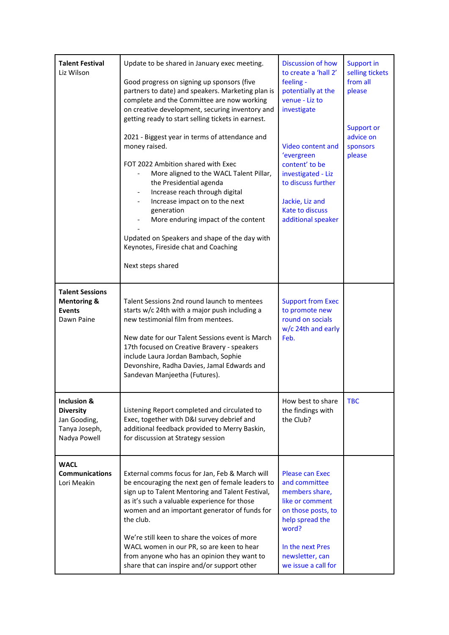| <b>Talent Festival</b><br>Liz Wilson                                             | Update to be shared in January exec meeting.<br>Good progress on signing up sponsors (five<br>partners to date) and speakers. Marketing plan is<br>complete and the Committee are now working<br>on creative development, securing inventory and<br>getting ready to start selling tickets in earnest.<br>2021 - Biggest year in terms of attendance and<br>money raised.<br>FOT 2022 Ambition shared with Exec<br>More aligned to the WACL Talent Pillar,<br>the Presidential agenda<br>Increase reach through digital<br>Increase impact on to the next<br>generation<br>More enduring impact of the content<br>Updated on Speakers and shape of the day with<br>Keynotes, Fireside chat and Coaching<br>Next steps shared | Discussion of how<br>to create a 'hall 2'<br>feeling -<br>potentially at the<br>venue - Liz to<br>investigate<br>Video content and<br>'evergreen<br>content' to be<br>investigated - Liz<br>to discuss further<br>Jackie, Liz and<br><b>Kate to discuss</b><br>additional speaker | <b>Support in</b><br>selling tickets<br>from all<br>please<br>Support or<br>advice on<br>sponsors<br>please |
|----------------------------------------------------------------------------------|------------------------------------------------------------------------------------------------------------------------------------------------------------------------------------------------------------------------------------------------------------------------------------------------------------------------------------------------------------------------------------------------------------------------------------------------------------------------------------------------------------------------------------------------------------------------------------------------------------------------------------------------------------------------------------------------------------------------------|-----------------------------------------------------------------------------------------------------------------------------------------------------------------------------------------------------------------------------------------------------------------------------------|-------------------------------------------------------------------------------------------------------------|
| <b>Talent Sessions</b><br><b>Mentoring &amp;</b><br><b>Events</b><br>Dawn Paine  | Talent Sessions 2nd round launch to mentees<br>starts w/c 24th with a major push including a<br>new testimonial film from mentees.<br>New date for our Talent Sessions event is March<br>17th focused on Creative Bravery - speakers<br>include Laura Jordan Bambach, Sophie<br>Devonshire, Radha Davies, Jamal Edwards and<br>Sandevan Manjeetha (Futures).                                                                                                                                                                                                                                                                                                                                                                 | <b>Support from Exec</b><br>to promote new<br>round on socials<br>w/c 24th and early<br>Feb.                                                                                                                                                                                      |                                                                                                             |
| Inclusion &<br><b>Diversity</b><br>Jan Gooding,<br>Tanya Joseph,<br>Nadya Powell | Listening Report completed and circulated to<br>Exec, together with D&I survey debrief and<br>additional feedback provided to Merry Baskin,<br>for discussion at Strategy session                                                                                                                                                                                                                                                                                                                                                                                                                                                                                                                                            | How best to share<br>the findings with<br>the Club?                                                                                                                                                                                                                               | <b>TBC</b>                                                                                                  |
| <b>WACL</b><br><b>Communications</b><br>Lori Meakin                              | External comms focus for Jan, Feb & March will<br>be encouraging the next gen of female leaders to<br>sign up to Talent Mentoring and Talent Festival,<br>as it's such a valuable experience for those<br>women and an important generator of funds for<br>the club.<br>We're still keen to share the voices of more<br>WACL women in our PR, so are keen to hear<br>from anyone who has an opinion they want to<br>share that can inspire and/or support other                                                                                                                                                                                                                                                              | <b>Please can Exec</b><br>and committee<br>members share,<br>like or comment<br>on those posts, to<br>help spread the<br>word?<br>In the next Pres<br>newsletter, can<br>we issue a call for                                                                                      |                                                                                                             |